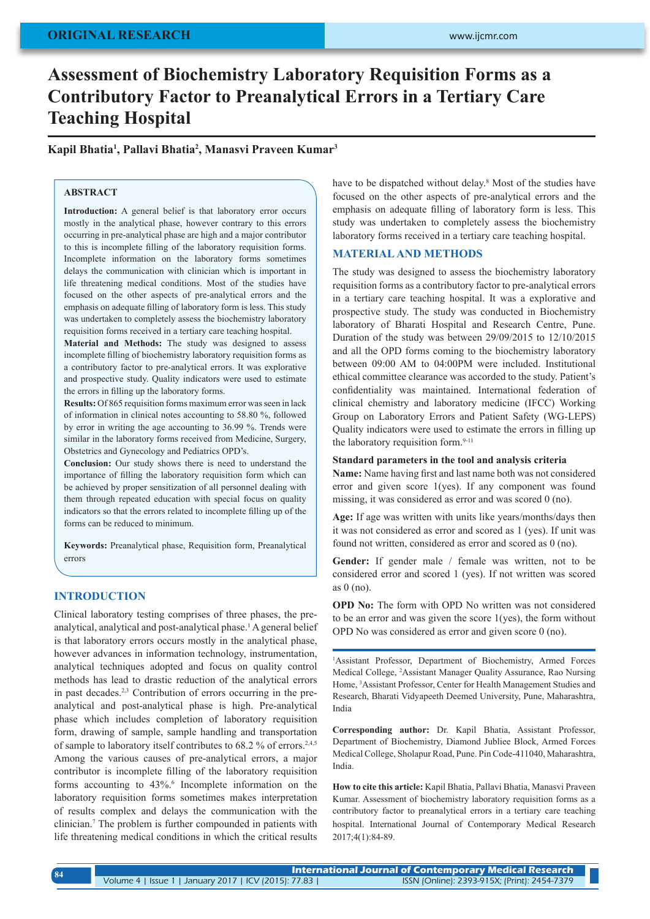# **ORIGINAL RESEARCH**

# **Assessment of Biochemistry Laboratory Requisition Forms as a Contributory Factor to Preanalytical Errors in a Tertiary Care Teaching Hospital**

**Kapil Bhatia1 , Pallavi Bhatia2 , Manasvi Praveen Kumar3**

# **ABSTRACT**

**Introduction:** A general belief is that laboratory error occurs mostly in the analytical phase, however contrary to this errors occurring in pre-analytical phase are high and a major contributor to this is incomplete filling of the laboratory requisition forms. Incomplete information on the laboratory forms sometimes delays the communication with clinician which is important in life threatening medical conditions. Most of the studies have focused on the other aspects of pre-analytical errors and the emphasis on adequate filling of laboratory form is less. This study was undertaken to completely assess the biochemistry laboratory requisition forms received in a tertiary care teaching hospital.

**Material and Methods:** The study was designed to assess incomplete filling of biochemistry laboratory requisition forms as a contributory factor to pre-analytical errors. It was explorative and prospective study. Quality indicators were used to estimate the errors in filling up the laboratory forms.

**Results:** Of 865 requisition forms maximum error was seen in lack of information in clinical notes accounting to 58.80 %, followed by error in writing the age accounting to 36.99 %. Trends were similar in the laboratory forms received from Medicine, Surgery, Obstetrics and Gynecology and Pediatrics OPD's.

**Conclusion:** Our study shows there is need to understand the importance of filling the laboratory requisition form which can be achieved by proper sensitization of all personnel dealing with them through repeated education with special focus on quality indicators so that the errors related to incomplete filling up of the forms can be reduced to minimum.

**Keywords:** Preanalytical phase, Requisition form, Preanalytical errors

# **INTRODUCTION**

Clinical laboratory testing comprises of three phases, the preanalytical, analytical and post-analytical phase.<sup>1</sup> A general belief is that laboratory errors occurs mostly in the analytical phase, however advances in information technology, instrumentation, analytical techniques adopted and focus on quality control methods has lead to drastic reduction of the analytical errors in past decades.2,3 Contribution of errors occurring in the preanalytical and post-analytical phase is high. Pre-analytical phase which includes completion of laboratory requisition form, drawing of sample, sample handling and transportation of sample to laboratory itself contributes to 68.2 % of errors.<sup>2,4,5</sup> Among the various causes of pre-analytical errors, a major contributor is incomplete filling of the laboratory requisition forms accounting to 43%.<sup>6</sup> Incomplete information on the laboratory requisition forms sometimes makes interpretation of results complex and delays the communication with the clinician.<sup>7</sup> The problem is further compounded in patients with life threatening medical conditions in which the critical results

have to be dispatched without delay.<sup>8</sup> Most of the studies have focused on the other aspects of pre-analytical errors and the emphasis on adequate filling of laboratory form is less. This study was undertaken to completely assess the biochemistry laboratory forms received in a tertiary care teaching hospital.

# **MATERIAL AND METHODS**

The study was designed to assess the biochemistry laboratory requisition forms as a contributory factor to pre-analytical errors in a tertiary care teaching hospital. It was a explorative and prospective study. The study was conducted in Biochemistry laboratory of Bharati Hospital and Research Centre, Pune. Duration of the study was between 29/09/2015 to 12/10/2015 and all the OPD forms coming to the biochemistry laboratory between 09:00 AM to 04:00PM were included. Institutional ethical committee clearance was accorded to the study. Patient's confidentiality was maintained. International federation of clinical chemistry and laboratory medicine (IFCC) Working Group on Laboratory Errors and Patient Safety (WG-LEPS) Quality indicators were used to estimate the errors in filling up the laboratory requisition form.<sup>9-11</sup>

# **Standard parameters in the tool and analysis criteria**

**Name:** Name having first and last name both was not considered error and given score 1(yes). If any component was found missing, it was considered as error and was scored 0 (no).

**Age:** If age was written with units like years/months/days then it was not considered as error and scored as 1 (yes). If unit was found not written, considered as error and scored as 0 (no).

Gender: If gender male / female was written, not to be considered error and scored 1 (yes). If not written was scored as 0 (no).

**OPD No:** The form with OPD No written was not considered to be an error and was given the score 1(yes), the form without OPD No was considered as error and given score 0 (no).

1 Assistant Professor, Department of Biochemistry, Armed Forces Medical College, <sup>2</sup> Assistant Manager Quality Assurance, Rao Nursing Home, <sup>3</sup> Assistant Professor, Center for Health Management Studies and Research, Bharati Vidyapeeth Deemed University, Pune, Maharashtra, India

**Corresponding author:** Dr. Kapil Bhatia, Assistant Professor, Department of Biochemistry, Diamond Jubliee Block, Armed Forces Medical College, Sholapur Road, Pune. Pin Code-411040, Maharashtra, India.

**How to cite this article:** Kapil Bhatia, Pallavi Bhatia, Manasvi Praveen Kumar. Assessment of biochemistry laboratory requisition forms as a contributory factor to preanalytical errors in a tertiary care teaching hospital. International Journal of Contemporary Medical Research 2017;4(1):84-89.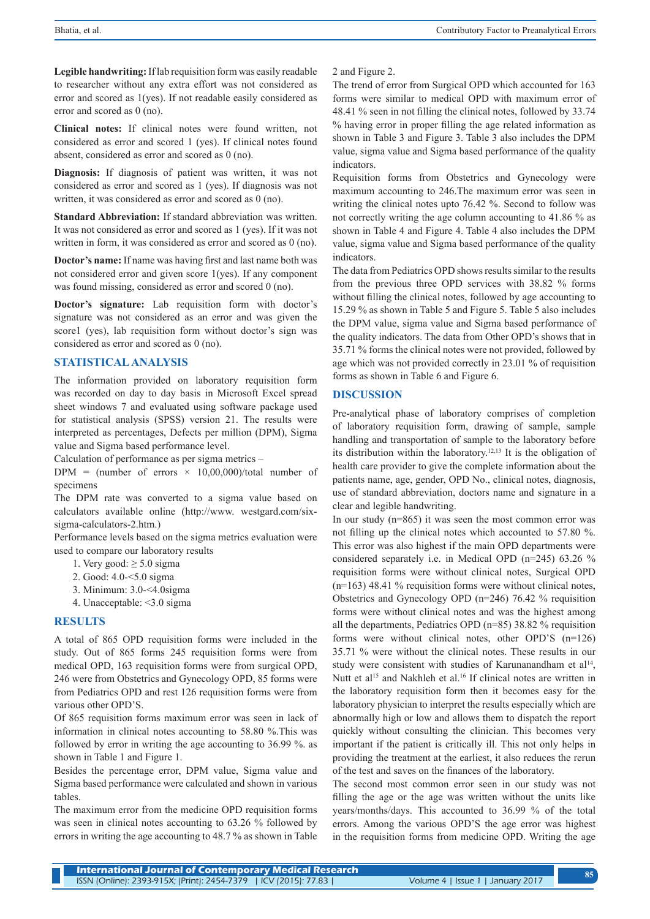**Legible handwriting:** If lab requisition form was easily readable to researcher without any extra effort was not considered as error and scored as 1(yes). If not readable easily considered as error and scored as 0 (no).

**Clinical notes:** If clinical notes were found written, not considered as error and scored 1 (yes). If clinical notes found absent, considered as error and scored as 0 (no).

**Diagnosis:** If diagnosis of patient was written, it was not considered as error and scored as 1 (yes). If diagnosis was not written, it was considered as error and scored as 0 (no).

**Standard Abbreviation:** If standard abbreviation was written. It was not considered as error and scored as 1 (yes). If it was not written in form, it was considered as error and scored as 0 (no).

**Doctor's name:** If name was having first and last name both was not considered error and given score 1(yes). If any component was found missing, considered as error and scored 0 (no).

**Doctor's signature:** Lab requisition form with doctor's signature was not considered as an error and was given the score1 (yes), lab requisition form without doctor's sign was considered as error and scored as 0 (no).

# **STATISTICAL ANALYSIS**

The information provided on laboratory requisition form was recorded on day to day basis in Microsoft Excel spread sheet windows 7 and evaluated using software package used for statistical analysis (SPSS) version 21. The results were interpreted as percentages, Defects per million (DPM), Sigma value and Sigma based performance level.

Calculation of performance as per sigma metrics –

DPM = (number of errors  $\times$  10,00,000)/total number of specimens

The DPM rate was converted to a sigma value based on calculators available online (http://www. westgard.com/sixsigma-calculators-2.htm.)

Performance levels based on the sigma metrics evaluation were used to compare our laboratory results

- 1. Very good:  $\geq 5.0$  sigma
- 2. Good: 4.0-<5.0 sigma
- 3. Minimum: 3.0-<4.0sigma
- 4. Unacceptable: <3.0 sigma

#### **RESULTS**

A total of 865 OPD requisition forms were included in the study. Out of 865 forms 245 requisition forms were from medical OPD, 163 requisition forms were from surgical OPD, 246 were from Obstetrics and Gynecology OPD, 85 forms were from Pediatrics OPD and rest 126 requisition forms were from various other OPD'S.

Of 865 requisition forms maximum error was seen in lack of information in clinical notes accounting to 58.80 %.This was followed by error in writing the age accounting to 36.99 %. as shown in Table 1 and Figure 1.

Besides the percentage error, DPM value, Sigma value and Sigma based performance were calculated and shown in various tables.

The maximum error from the medicine OPD requisition forms was seen in clinical notes accounting to 63.26 % followed by errors in writing the age accounting to 48.7 % as shown in Table 2 and Figure 2.

The trend of error from Surgical OPD which accounted for 163 forms were similar to medical OPD with maximum error of 48.41 % seen in not filling the clinical notes, followed by 33.74 % having error in proper filling the age related information as shown in Table 3 and Figure 3. Table 3 also includes the DPM value, sigma value and Sigma based performance of the quality indicators.

Requisition forms from Obstetrics and Gynecology were maximum accounting to 246.The maximum error was seen in writing the clinical notes upto 76.42 %. Second to follow was not correctly writing the age column accounting to 41.86 % as shown in Table 4 and Figure 4. Table 4 also includes the DPM value, sigma value and Sigma based performance of the quality indicators.

The data from Pediatrics OPD shows results similar to the results from the previous three OPD services with 38.82 % forms without filling the clinical notes, followed by age accounting to 15.29 % as shown in Table 5 and Figure 5. Table 5 also includes the DPM value, sigma value and Sigma based performance of the quality indicators. The data from Other OPD's shows that in 35.71 % forms the clinical notes were not provided, followed by age which was not provided correctly in 23.01 % of requisition forms as shown in Table 6 and Figure 6.

#### **DISCUSSION**

Pre-analytical phase of laboratory comprises of completion of laboratory requisition form, drawing of sample, sample handling and transportation of sample to the laboratory before its distribution within the laboratory.12,13 It is the obligation of health care provider to give the complete information about the patients name, age, gender, OPD No., clinical notes, diagnosis, use of standard abbreviation, doctors name and signature in a clear and legible handwriting.

In our study (n=865) it was seen the most common error was not filling up the clinical notes which accounted to 57.80 %. This error was also highest if the main OPD departments were considered separately i.e. in Medical OPD (n=245) 63.26 % requisition forms were without clinical notes, Surgical OPD  $(n=163)$  48.41 % requisition forms were without clinical notes, Obstetrics and Gynecology OPD (n=246) 76.42 % requisition forms were without clinical notes and was the highest among all the departments, Pediatrics OPD (n=85) 38.82 % requisition forms were without clinical notes, other OPD'S (n=126) 35.71 % were without the clinical notes. These results in our study were consistent with studies of Karunanandham et al<sup>14</sup>, Nutt et al<sup>15</sup> and Nakhleh et al.<sup>16</sup> If clinical notes are written in the laboratory requisition form then it becomes easy for the laboratory physician to interpret the results especially which are abnormally high or low and allows them to dispatch the report quickly without consulting the clinician. This becomes very important if the patient is critically ill. This not only helps in providing the treatment at the earliest, it also reduces the rerun of the test and saves on the finances of the laboratory.

The second most common error seen in our study was not filling the age or the age was written without the units like years/months/days. This accounted to 36.99 % of the total errors. Among the various OPD'S the age error was highest in the requisition forms from medicine OPD. Writing the age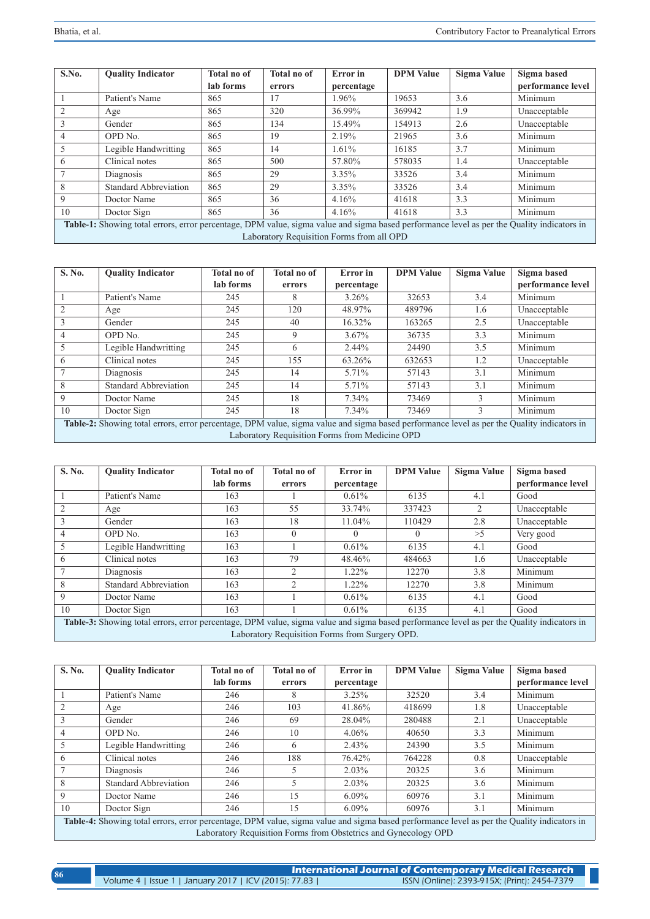| S.No.                                                                                                                                      | <b>Ouality Indicator</b>     | <b>Total no of</b> | <b>Total no of</b> | <b>Error</b> in | <b>DPM</b> Value | Sigma Value | Sigma based       |
|--------------------------------------------------------------------------------------------------------------------------------------------|------------------------------|--------------------|--------------------|-----------------|------------------|-------------|-------------------|
|                                                                                                                                            |                              | lab forms          | errors             | percentage      |                  |             | performance level |
|                                                                                                                                            | Patient's Name               | 865                | 17                 | 1.96%           | 19653            | 3.6         | Minimum           |
| 2                                                                                                                                          | Age                          | 865                | 320                | 36.99%          | 369942           | 1.9         | Unacceptable      |
| 3                                                                                                                                          | Gender                       | 865                | 134                | 15.49%          | 154913           | 2.6         | Unacceptable      |
| 4                                                                                                                                          | OPD No.                      | 865                | 19                 | 2.19%           | 21965            | 3.6         | Minimum           |
| 5                                                                                                                                          | Legible Handwritting         | 865                | 14                 | 1.61%           | 16185            | 3.7         | Minimum           |
| 6                                                                                                                                          | Clinical notes               | 865                | 500                | 57.80%          | 578035           | 1.4         | Unacceptable      |
|                                                                                                                                            | Diagnosis                    | 865                | 29                 | $3.35\%$        | 33526            | 3.4         | Minimum           |
| 8                                                                                                                                          | <b>Standard Abbreviation</b> | 865                | 29                 | 3.35%           | 33526            | 3.4         | Minimum           |
| 9                                                                                                                                          | Doctor Name                  | 865                | 36                 | 4.16%           | 41618            | 3.3         | Minimum           |
| 10                                                                                                                                         | Doctor Sign                  | 865                | 36                 | 4.16%           | 41618            | 3.3         | Minimum           |
| Table-1: Showing total errors, error percentage, DPM value, sigma value and sigma based performance level as per the Quality indicators in |                              |                    |                    |                 |                  |             |                   |
| Laboratory Requisition Forms from all OPD                                                                                                  |                              |                    |                    |                 |                  |             |                   |

| S. No.                                                                                                                                                                                       | <b>Quality Indicator</b>     | <b>Total no of</b> | <b>Total no of</b> | <b>Error</b> in | <b>DPM Value</b> | Sigma Value   | Sigma based       |
|----------------------------------------------------------------------------------------------------------------------------------------------------------------------------------------------|------------------------------|--------------------|--------------------|-----------------|------------------|---------------|-------------------|
|                                                                                                                                                                                              |                              | lab forms          | errors             | percentage      |                  |               | performance level |
|                                                                                                                                                                                              | Patient's Name               | 245                | 8                  | $3.26\%$        | 32653            | 3.4           | Minimum           |
| 2                                                                                                                                                                                            | Age                          | 245                | 120                | 48.97%          | 489796           | 1.6           | Unacceptable      |
| 3                                                                                                                                                                                            | Gender                       | 245                | 40                 | 16.32%          | 163265           | 2.5           | Unacceptable      |
| 4                                                                                                                                                                                            | OPD No.                      | 245                | 9                  | $3.67\%$        | 36735            | 3.3           | Minimum           |
| 5                                                                                                                                                                                            | Legible Handwritting         | 245                | 6                  | 2.44%           | 24490            | 3.5           | Minimum           |
| 6                                                                                                                                                                                            | Clinical notes               | 245                | 155                | 63.26%          | 632653           | 1.2           | Unacceptable      |
|                                                                                                                                                                                              | Diagnosis                    | 245                | 14                 | 5.71%           | 57143            | 3.1           | Minimum           |
| 8                                                                                                                                                                                            | <b>Standard Abbreviation</b> | 245                | 14                 | 5.71%           | 57143            | 3.1           | Minimum           |
| 9                                                                                                                                                                                            | Doctor Name                  | 245                | 18                 | 7.34%           | 73469            | 3             | Minimum           |
| 10                                                                                                                                                                                           | Doctor Sign                  | 245                | 18                 | $7.34\%$        | 73469            | $\mathcal{F}$ | Minimum           |
| Table-2: Showing total errors, error percentage, DPM value, sigma value and sigma based performance level as per the Quality indicators in<br>Laboratory Requisition Forms from Medicine OPD |                              |                    |                    |                 |                  |               |                   |

| S. No.                                                                                                                                                                                       | <b>Ouality Indicator</b>     | <b>Total no of</b> | <b>Total no of</b> | <b>Error</b> in | <b>DPM Value</b> | Sigma Value | Sigma based       |
|----------------------------------------------------------------------------------------------------------------------------------------------------------------------------------------------|------------------------------|--------------------|--------------------|-----------------|------------------|-------------|-------------------|
|                                                                                                                                                                                              |                              | lab forms          | errors             | percentage      |                  |             | performance level |
|                                                                                                                                                                                              | Patient's Name               | 163                |                    | 0.61%           | 6135             | 4.1         | Good              |
| 2                                                                                                                                                                                            | Age                          | 163                | 55                 | 33.74%          | 337423           | 2           | Unacceptable      |
| 3                                                                                                                                                                                            | Gender                       | 163                | 18                 | 11.04%          | 110429           | 2.8         | Unacceptable      |
| $\overline{4}$                                                                                                                                                                               | OPD No.                      | 163                | $\theta$           |                 | $\Omega$         | >5          | Very good         |
| 5                                                                                                                                                                                            | Legible Handwritting         | 163                |                    | $0.61\%$        | 6135             | 4.1         | Good              |
| 6                                                                                                                                                                                            | Clinical notes               | 163                | 79                 | 48.46%          | 484663           | 1.6         | Unacceptable      |
|                                                                                                                                                                                              | Diagnosis                    | 163                | $\mathfrak{D}$     | 1.22%           | 12270            | 3.8         | Minimum           |
| 8                                                                                                                                                                                            | <b>Standard Abbreviation</b> | 163                | 2                  | 1.22%           | 12270            | 3.8         | Minimum           |
| 9                                                                                                                                                                                            | Doctor Name                  | 163                |                    | $0.61\%$        | 6135             | 4.1         | Good              |
| 10                                                                                                                                                                                           | Doctor Sign                  | 163                |                    | $0.61\%$        | 6135             | 4.1         | Good              |
| Table-3: Showing total errors, error percentage, DPM value, sigma value and sigma based performance level as per the Quality indicators in<br>Laboratory Requisition Forms from Surgery OPD. |                              |                    |                    |                 |                  |             |                   |

| S. No.                                                                                                                                     | <b>Quality Indicator</b>     | <b>Total no of</b> | Total no of | <b>Error</b> in | <b>DPM Value</b> | Sigma Value | Sigma based       |
|--------------------------------------------------------------------------------------------------------------------------------------------|------------------------------|--------------------|-------------|-----------------|------------------|-------------|-------------------|
|                                                                                                                                            |                              | lab forms          | errors      | percentage      |                  |             | performance level |
|                                                                                                                                            | Patient's Name               | 246                | 8           | 3.25%           | 32520            | 3.4         | Minimum           |
| 2                                                                                                                                          | Age                          | 246                | 103         | 41.86%          | 418699           | 1.8         | Unacceptable      |
| 3                                                                                                                                          | Gender                       | 246                | 69          | 28.04%          | 280488           | 2.1         | Unacceptable      |
| 4                                                                                                                                          | OPD No.                      | 246                | 10          | $4.06\%$        | 40650            | 3.3         | Minimum           |
| 5                                                                                                                                          | Legible Handwritting         | 246                | 6           | 2.43%           | 24390            | 3.5         | Minimum           |
| 6                                                                                                                                          | Clinical notes               | 246                | 188         | 76.42%          | 764228           | 0.8         | Unacceptable      |
|                                                                                                                                            | Diagnosis                    | 246                |             | 2.03%           | 20325            | 3.6         | Minimum           |
| 8                                                                                                                                          | <b>Standard Abbreviation</b> | 246                |             | 2.03%           | 20325            | 3.6         | Minimum           |
| 9                                                                                                                                          | Doctor Name                  | 246                | 15          | $6.09\%$        | 60976            | 3.1         | Minimum           |
| 10                                                                                                                                         | Doctor Sign                  | 246                | 15          | $6.09\%$        | 60976            | 3.1         | Minimum           |
| Table-4: Showing total errors, error percentage, DPM value, sigma value and sigma based performance level as per the Quality indicators in |                              |                    |             |                 |                  |             |                   |
| Laboratory Requisition Forms from Obstetrics and Gynecology OPD                                                                            |                              |                    |             |                 |                  |             |                   |

| 86 | <b>International Journal of Contemporary Medical Research</b> |                                              |  |  |  |  |  |
|----|---------------------------------------------------------------|----------------------------------------------|--|--|--|--|--|
|    | Volume 4   Issue 1   January 2017   ICV (2015): 77.83         | ISSN (Online): 2393-915X; (Print): 2454-7379 |  |  |  |  |  |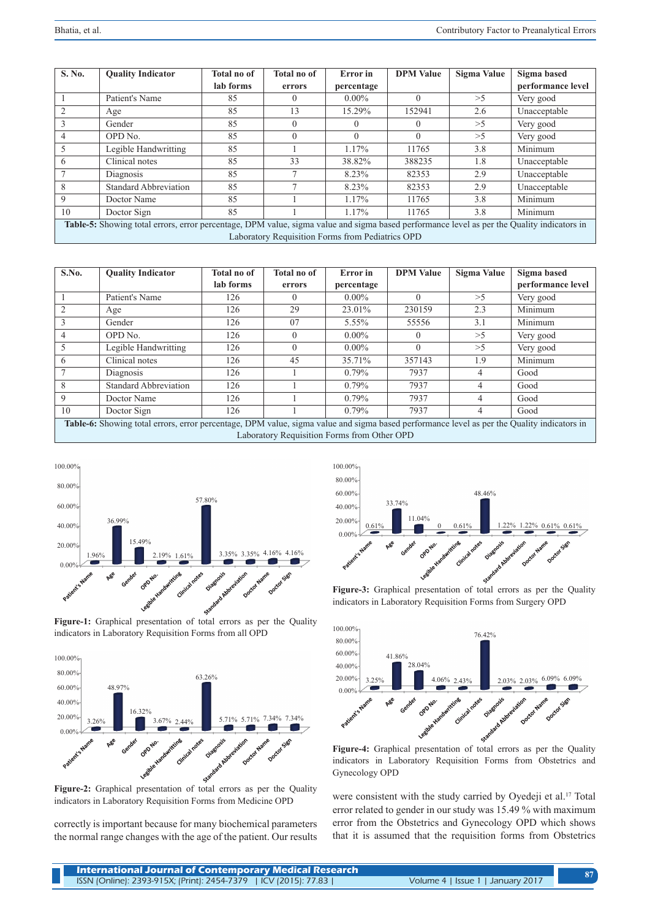| S. No.                                                                                                                                     | <b>Quality Indicator</b>     | <b>Total no of</b> | <b>Total no of</b> | Error in   | <b>DPM Value</b> | <b>Sigma Value</b> | Sigma based       |
|--------------------------------------------------------------------------------------------------------------------------------------------|------------------------------|--------------------|--------------------|------------|------------------|--------------------|-------------------|
|                                                                                                                                            |                              | lab forms          | errors             | percentage |                  |                    | performance level |
|                                                                                                                                            | Patient's Name               | 85                 |                    | $0.00\%$   | $\Omega$         | >5                 | Very good         |
|                                                                                                                                            | Age                          | 85                 | 13                 | 15.29%     | 152941           | 2.6                | Unacceptable      |
|                                                                                                                                            | Gender                       | 85                 |                    | $\theta$   | $\Omega$         | >5                 | Very good         |
|                                                                                                                                            | OPD No.                      | 85                 |                    | $\Omega$   | $\theta$         | >5                 | Very good         |
| 5                                                                                                                                          | Legible Handwritting         | 85                 |                    | 1.17%      | 11765            | 3.8                | Minimum           |
| $\sigma$                                                                                                                                   | Clinical notes               | 85                 | 33                 | 38.82%     | 388235           | 1.8                | Unacceptable      |
|                                                                                                                                            | Diagnosis                    | 85                 |                    | 8.23%      | 82353            | 2.9                | Unacceptable      |
| 8                                                                                                                                          | <b>Standard Abbreviation</b> | 85                 |                    | 8.23%      | 82353            | 2.9                | Unacceptable      |
| 9                                                                                                                                          | Doctor Name                  | 85                 |                    | 1.17%      | 11765            | 3.8                | Minimum           |
| 10                                                                                                                                         | Doctor Sign                  | 85                 |                    | 1.17%      | 11765            | 3.8                | Minimum           |
| Table-5: Showing total errors, error percentage, DPM value, sigma value and sigma based performance level as per the Quality indicators in |                              |                    |                    |            |                  |                    |                   |
| Laboratory Requisition Forms from Pediatrics OPD                                                                                           |                              |                    |                    |            |                  |                    |                   |

| S.No.                                                                                                                                                                                     | <b>Quality Indicator</b>     | <b>Total no of</b> | <b>Total no of</b> | Error in   | <b>DPM</b> Value | Sigma Value    | Sigma based       |  |
|-------------------------------------------------------------------------------------------------------------------------------------------------------------------------------------------|------------------------------|--------------------|--------------------|------------|------------------|----------------|-------------------|--|
|                                                                                                                                                                                           |                              | lab forms          | errors             | percentage |                  |                | performance level |  |
|                                                                                                                                                                                           | Patient's Name               | 126                | 0                  | $0.00\%$   | $\Omega$         | >5             | Very good         |  |
|                                                                                                                                                                                           | Age                          | 126                | 29                 | 23.01%     | 230159           | 2.3            | Minimum           |  |
| 3                                                                                                                                                                                         | Gender                       | 126                | 07                 | 5.55%      | 55556            | 3.1            | Minimum           |  |
| 4                                                                                                                                                                                         | OPD No.                      | 126                |                    | $0.00\%$   | $\Omega$         | >5             | Very good         |  |
| 5                                                                                                                                                                                         | Legible Handwritting         | 126                | 0                  | $0.00\%$   | $\theta$         | >5             | Very good         |  |
| 6                                                                                                                                                                                         | Clinical notes               | 126                | 45                 | 35.71%     | 357143           | 1.9            | Minimum           |  |
|                                                                                                                                                                                           | Diagnosis                    | 126                |                    | $0.79\%$   | 7937             | 4              | Good              |  |
| 8                                                                                                                                                                                         | <b>Standard Abbreviation</b> | 126                |                    | $0.79\%$   | 7937             | $\overline{4}$ | Good              |  |
| 9                                                                                                                                                                                         | Doctor Name                  | 126                |                    | $0.79\%$   | 7937             | 4              | Good              |  |
| 10                                                                                                                                                                                        | Doctor Sign                  | 126                |                    | $0.79\%$   | 7937             | 4              | Good              |  |
| Table-6: Showing total errors, error percentage, DPM value, sigma value and sigma based performance level as per the Quality indicators in<br>Laboratory Requisition Forms from Other OPD |                              |                    |                    |            |                  |                |                   |  |
|                                                                                                                                                                                           |                              |                    |                    |            |                  |                |                   |  |



**Figure-1:** Graphical presentation of total errors as per the Quality indicators in Laboratory Requisition Forms from all OPD



**Figure-2:** Graphical presentation of total errors as per the Quality indicators in Laboratory Requisition Forms from Medicine OPD

correctly is important because for many biochemical parameters the normal range changes with the age of the patient. Our results



**Figure-3:** Graphical presentation of total errors as per the Quality indicators in Laboratory Requisition Forms from Surgery OPD



**Figure-4:** Graphical presentation of total errors as per the Quality indicators in Laboratory Requisition Forms from Obstetrics and Gynecology OPD

were consistent with the study carried by Oyedeji et al.<sup>17</sup> Total error related to gender in our study was 15.49 % with maximum error from the Obstetrics and Gynecology OPD which shows that it is assumed that the requisition forms from Obstetrics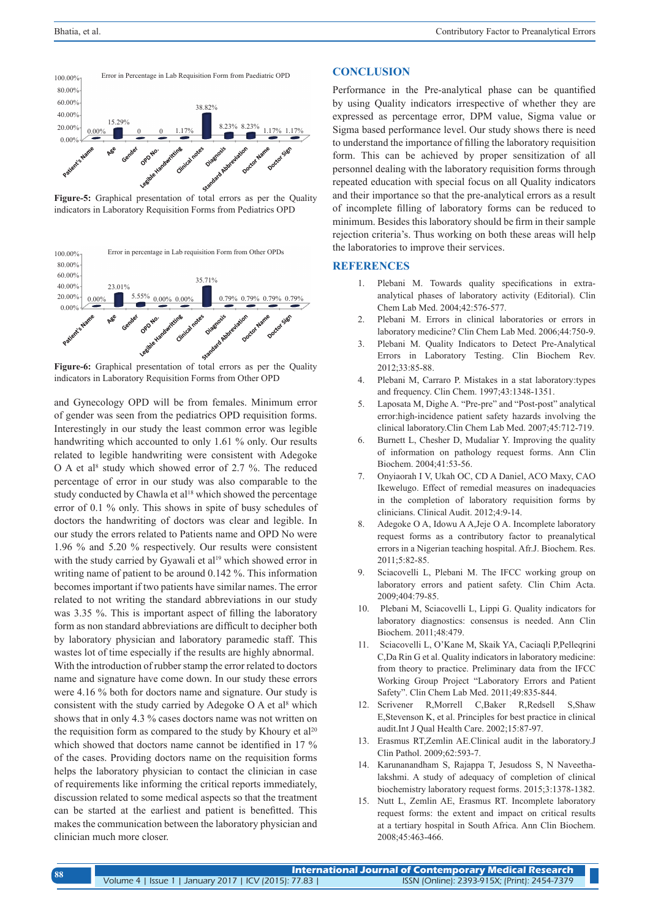

**Figure-5:** Graphical presentation of total errors as per the Quality indicators in Laboratory Requisition Forms from Pediatrics OPD



**Figure-6:** Graphical presentation of total errors as per the Quality indicators in Laboratory Requisition Forms from Other OPD

and Gynecology OPD will be from females. Minimum error of gender was seen from the pediatrics OPD requisition forms. Interestingly in our study the least common error was legible handwriting which accounted to only 1.61 % only. Our results related to legible handwriting were consistent with Adegoke O A et al<sup>8</sup> study which showed error of 2.7 %. The reduced percentage of error in our study was also comparable to the study conducted by Chawla et al<sup>18</sup> which showed the percentage error of 0.1 % only. This shows in spite of busy schedules of doctors the handwriting of doctors was clear and legible. In our study the errors related to Patients name and OPD No were 1.96 % and 5.20 % respectively. Our results were consistent with the study carried by Gyawali et al<sup>19</sup> which showed error in writing name of patient to be around 0.142 %. This information becomes important if two patients have similar names. The error related to not writing the standard abbreviations in our study was 3.35 %. This is important aspect of filling the laboratory form as non standard abbreviations are difficult to decipher both by laboratory physician and laboratory paramedic staff. This wastes lot of time especially if the results are highly abnormal. With the introduction of rubber stamp the error related to doctors name and signature have come down. In our study these errors were 4.16 % both for doctors name and signature. Our study is consistent with the study carried by Adegoke  $O$  A et al<sup>8</sup> which shows that in only 4.3 % cases doctors name was not written on the requisition form as compared to the study by Khoury et  $al<sup>20</sup>$ which showed that doctors name cannot be identified in 17 % of the cases. Providing doctors name on the requisition forms helps the laboratory physician to contact the clinician in case of requirements like informing the critical reports immediately, discussion related to some medical aspects so that the treatment can be started at the earliest and patient is benefitted. This makes the communication between the laboratory physician and clinician much more closer.

# **CONCLUSION**

Performance in the Pre-analytical phase can be quantified by using Quality indicators irrespective of whether they are expressed as percentage error, DPM value, Sigma value or Sigma based performance level. Our study shows there is need to understand the importance of filling the laboratory requisition form. This can be achieved by proper sensitization of all personnel dealing with the laboratory requisition forms through repeated education with special focus on all Quality indicators and their importance so that the pre-analytical errors as a result of incomplete filling of laboratory forms can be reduced to minimum. Besides this laboratory should be firm in their sample rejection criteria's. Thus working on both these areas will help the laboratories to improve their services.

### **REFERENCES**

- 1. Plebani M. Towards quality specifications in extraanalytical phases of laboratory activity (Editorial). Clin Chem Lab Med. 2004;42:576-577.
- 2. Plebani M. Errors in clinical laboratories or errors in laboratory medicine? Clin Chem Lab Med. 2006;44:750-9.
- 3. Plebani M. Quality Indicators to Detect Pre-Analytical Errors in Laboratory Testing. Clin Biochem Rev. 2012;33:85-88.
- 4. Plebani M, Carraro P. Mistakes in a stat laboratory:types and frequency. Clin Chem. 1997;43:1348-1351.
- 5. Laposata M, Dighe A. "Pre-pre" and "Post-post" analytical error:high-incidence patient safety hazards involving the clinical laboratory.Clin Chem Lab Med. 2007;45:712-719.
- 6. Burnett L, Chesher D, Mudaliar Y. Improving the quality of information on pathology request forms. Ann Clin Biochem. 2004;41:53-56.
- 7. Onyiaorah I V, Ukah OC, CD A Daniel, ACO Maxy, CAO Ikewelugo. Effect of remedial measures on inadequacies in the completion of laboratory requisition forms by clinicians. Clinical Audit. 2012;4:9-14.
- 8. Adegoke O A, Idowu A A,Jeje O A. Incomplete laboratory request forms as a contributory factor to preanalytical errors in a Nigerian teaching hospital. Afr.J. Biochem. Res. 2011;5:82-85.
- 9. Sciacovelli L, Plebani M. The IFCC working group on laboratory errors and patient safety. Clin Chim Acta. 2009;404:79-85.
- 10. Plebani M, Sciacovelli L, Lippi G. Quality indicators for laboratory diagnostics: consensus is needed. Ann Clin Biochem. 2011;48:479.
- 11. Sciacovelli L, O'Kane M, Skaik YA, Caciaqli P,Pelleqrini C,Da Rin G et al. Quality indicators in laboratory medicine: from theory to practice. Preliminary data from the IFCC Working Group Project "Laboratory Errors and Patient Safety". Clin Chem Lab Med. 2011;49:835-844.
- 12. Scrivener R,Morrell C,Baker R,Redsell S,Shaw E,Stevenson K, et al. Principles for best practice in clinical audit.Int J Qual Health Care. 2002;15:87-97.
- 13. Erasmus RT,Zemlin AE.Clinical audit in the laboratory.J Clin Pathol. 2009;62:593-7.
- 14. Karunanandham S, Rajappa T, Jesudoss S, N Naveethalakshmi. A study of adequacy of completion of clinical biochemistry laboratory request forms. 2015;3:1378-1382.
- 15. Nutt L, Zemlin AE, Erasmus RT. Incomplete laboratory request forms: the extent and impact on critical results at a tertiary hospital in South Africa. Ann Clin Biochem. 2008;45:463-466.